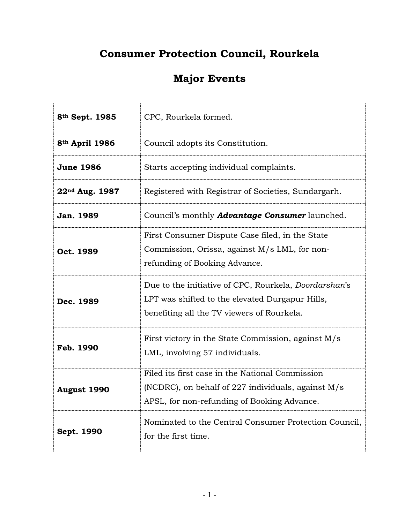## **Consumer Protection Council, Rourkela**

## **Major Events**

| 8 <sup>th</sup> Sept. 1985 | CPC, Rourkela formed.                                                                                                                                         |
|----------------------------|---------------------------------------------------------------------------------------------------------------------------------------------------------------|
| 8th April 1986             | Council adopts its Constitution.                                                                                                                              |
| <b>June 1986</b>           | Starts accepting individual complaints.                                                                                                                       |
| 22 <sup>nd</sup> Aug. 1987 | Registered with Registrar of Societies, Sundargarh.                                                                                                           |
| Jan. 1989                  | Council's monthly <b>Advantage Consumer</b> launched.                                                                                                         |
| Oct. 1989                  | First Consumer Dispute Case filed, in the State<br>Commission, Orissa, against M/s LML, for non-<br>refunding of Booking Advance.                             |
| Dec. 1989                  | Due to the initiative of CPC, Rourkela, <i>Doordarshan's</i><br>LPT was shifted to the elevated Durgapur Hills,<br>benefiting all the TV viewers of Rourkela. |
| Feb. 1990                  | First victory in the State Commission, against M/s<br>LML, involving 57 individuals.                                                                          |
| <b>August 1990</b>         | Filed its first case in the National Commission<br>(NCDRC), on behalf of 227 individuals, against $M/s$<br>APSL, for non-refunding of Booking Advance.        |
| Sept. 1990                 | Nominated to the Central Consumer Protection Council,<br>for the first time.                                                                                  |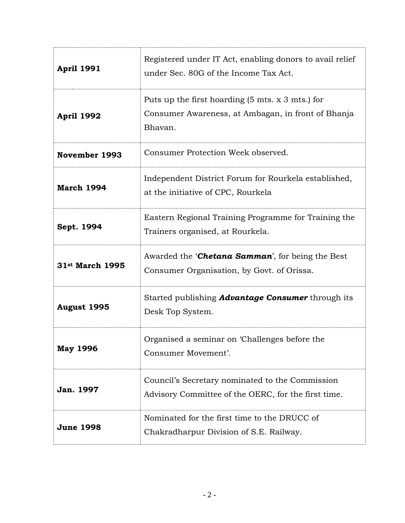| <b>April 1991</b>           | Registered under IT Act, enabling donors to avail relief<br>under Sec. 80G of the Income Tax Act.                                    |
|-----------------------------|--------------------------------------------------------------------------------------------------------------------------------------|
| <b>April 1992</b>           | Puts up the first hoarding $(5 \text{ mts. x } 3 \text{ mts.})$ for<br>Consumer Awareness, at Ambagan, in front of Bhanja<br>Bhavan. |
| November 1993               | Consumer Protection Week observed.                                                                                                   |
| <b>March 1994</b>           | Independent District Forum for Rourkela established,<br>at the initiative of CPC, Rourkela                                           |
| Sept. 1994                  | Eastern Regional Training Programme for Training the<br>Trainers organised, at Rourkela.                                             |
| 31 <sup>st</sup> March 1995 | Awarded the <b>Chetana Samman</b> ', for being the Best<br>Consumer Organisation, by Govt. of Orissa.                                |
| August 1995                 | Started publishing <b>Advantage Consumer</b> through its<br>Desk Top System.                                                         |
| <b>May 1996</b>             | Organised a seminar on 'Challenges before the<br>Consumer Movement'.                                                                 |
| <b>Jan. 1997</b>            | Council's Secretary nominated to the Commission<br>Advisory Committee of the OERC, for the first time.                               |
| <b>June 1998</b>            | Nominated for the first time to the DRUCC of<br>Chakradharpur Division of S.E. Railway.                                              |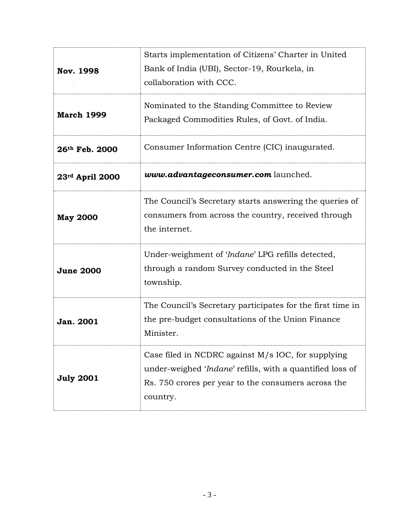| <b>Nov. 1998</b>  | Starts implementation of Citizens' Charter in United<br>Bank of India (UBI), Sector-19, Rourkela, in<br>collaboration with CCC.                                                    |
|-------------------|------------------------------------------------------------------------------------------------------------------------------------------------------------------------------------|
| <b>March 1999</b> | Nominated to the Standing Committee to Review<br>Packaged Commodities Rules, of Govt. of India.                                                                                    |
| 26th Feb. 2000    | Consumer Information Centre (CIC) inaugurated.                                                                                                                                     |
| 23rd April 2000   | www.advantageconsumer.com launched.                                                                                                                                                |
| <b>May 2000</b>   | The Council's Secretary starts answering the queries of<br>consumers from across the country, received through<br>the internet.                                                    |
| <b>June 2000</b>  | Under-weighment of 'Indane' LPG refills detected,<br>through a random Survey conducted in the Steel<br>township.                                                                   |
| Jan. 2001         | The Council's Secretary participates for the first time in<br>the pre-budget consultations of the Union Finance<br>Minister.                                                       |
| <b>July 2001</b>  | Case filed in NCDRC against M/s IOC, for supplying<br>under-weighed 'Indane' refills, with a quantified loss of<br>Rs. 750 crores per year to the consumers across the<br>country. |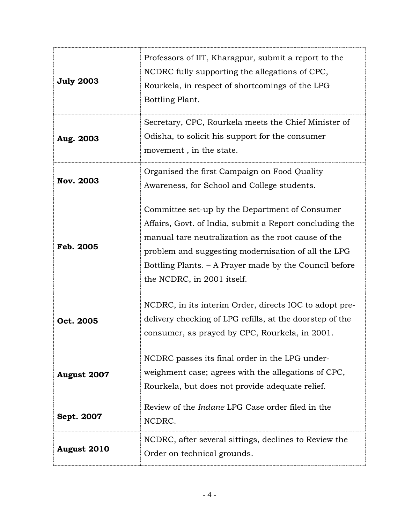| <b>July 2003</b>   | Professors of IIT, Kharagpur, submit a report to the<br>NCDRC fully supporting the allegations of CPC,<br>Rourkela, in respect of shortcomings of the LPG<br>Bottling Plant.                                                                                                                                    |
|--------------------|-----------------------------------------------------------------------------------------------------------------------------------------------------------------------------------------------------------------------------------------------------------------------------------------------------------------|
| Aug. 2003          | Secretary, CPC, Rourkela meets the Chief Minister of<br>Odisha, to solicit his support for the consumer<br>movement, in the state.                                                                                                                                                                              |
| <b>Nov. 2003</b>   | Organised the first Campaign on Food Quality<br>Awareness, for School and College students.                                                                                                                                                                                                                     |
| Feb. 2005          | Committee set-up by the Department of Consumer<br>Affairs, Govt. of India, submit a Report concluding the<br>manual tare neutralization as the root cause of the<br>problem and suggesting modernisation of all the LPG<br>Bottling Plants. – A Prayer made by the Council before<br>the NCDRC, in 2001 itself. |
| Oct. 2005          | NCDRC, in its interim Order, directs IOC to adopt pre-<br>delivery checking of LPG refills, at the doorstep of the<br>consumer, as prayed by CPC, Rourkela, in 2001.                                                                                                                                            |
| August 2007        | NCDRC passes its final order in the LPG under-<br>weighment case; agrees with the allegations of CPC,<br>Rourkela, but does not provide adequate relief.                                                                                                                                                        |
| Sept. 2007         | Review of the <i>Indane</i> LPG Case order filed in the<br>NCDRC.                                                                                                                                                                                                                                               |
| <b>August 2010</b> | NCDRC, after several sittings, declines to Review the<br>Order on technical grounds.                                                                                                                                                                                                                            |